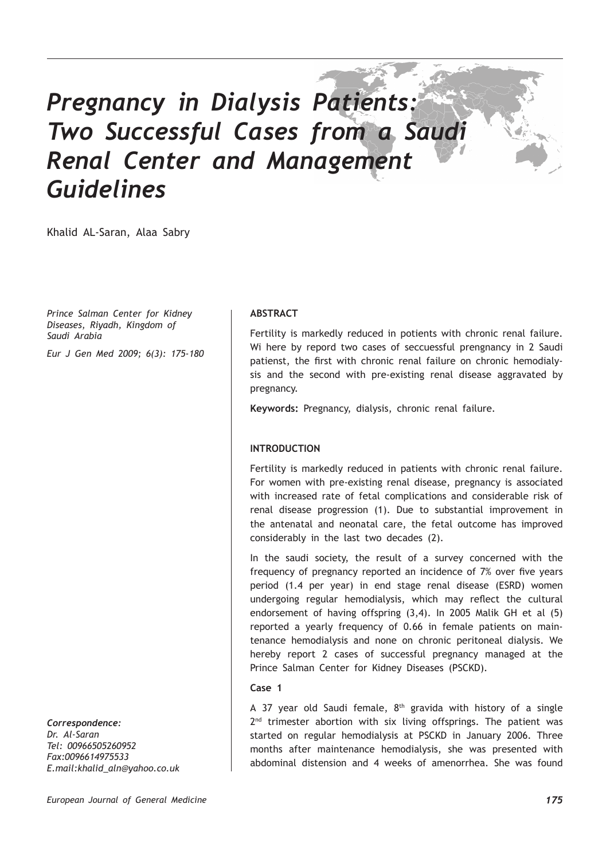# *Pregnancy in Dialysis Patients: Two Successful Cases from a Saudi Renal Center and Management Guidelines*

Khalid AL-Saran, Alaa Sabry

*Prince Salman Center for Kidney Diseases, Riyadh, Kingdom of Saudi Arabia*

*Eur J Gen Med 2009; 6(3): 175-180*

*Correspondence: Dr. Al-Saran Tel: 00966505260952 Fax:0096614975533 E.mail:khalid\_aln@yahoo.co.uk*

### **ABSTRACT**

Fertility is markedly reduced in potients with chronic renal failure. Wi here by repord two cases of seccuessful prengnancy in 2 Saudi patienst, the first with chronic renal failure on chronic hemodialysis and the second with pre-existing renal disease aggravated by pregnancy.

**Keywords:** Pregnancy, dialysis, chronic renal failure.

## **INTRODUCTION**

Fertility is markedly reduced in patients with chronic renal failure. For women with pre-existing renal disease, pregnancy is associated with increased rate of fetal complications and considerable risk of renal disease progression (1). Due to substantial improvement in the antenatal and neonatal care, the fetal outcome has improved considerably in the last two decades (2).

In the saudi society, the result of a survey concerned with the frequency of pregnancy reported an incidence of 7% over five years period (1.4 per year) in end stage renal disease (ESRD) women undergoing regular hemodialysis, which may reflect the cultural endorsement of having offspring (3,4). In 2005 Malik GH et al (5) reported a yearly frequency of 0.66 in female patients on maintenance hemodialysis and none on chronic peritoneal dialysis. We hereby report 2 cases of successful pregnancy managed at the Prince Salman Center for Kidney Diseases (PSCKD).

#### **Case 1**

A 37 year old Saudi female,  $8<sup>th</sup>$  gravida with history of a single  $2<sup>nd</sup>$  trimester abortion with six living offsprings. The patient was started on regular hemodialysis at PSCKD in January 2006. Three months after maintenance hemodialysis, she was presented with abdominal distension and 4 weeks of amenorrhea. She was found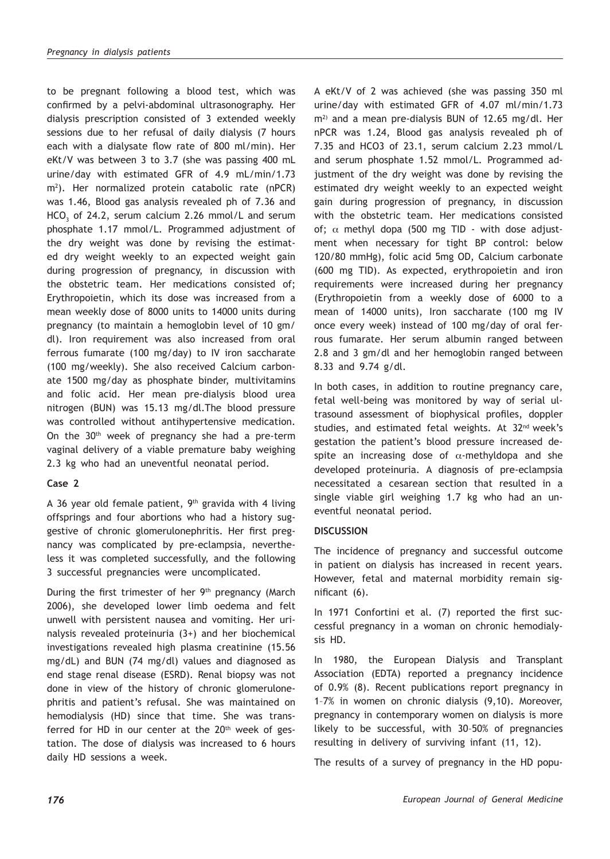to be pregnant following a blood test, which was confirmed by a pelvi-abdominal ultrasonography. Her dialysis prescription consisted of 3 extended weekly sessions due to her refusal of daily dialysis (7 hours each with a dialysate flow rate of 800 ml/min). Her eKt/V was between 3 to 3.7 (she was passing 400 mL urine/day with estimated GFR of 4.9 mL/min/1.73 m2 ). Her normalized protein catabolic rate (nPCR) was 1.46, Blood gas analysis revealed ph of 7.36 and  $HCO<sub>3</sub>$  of 24.2, serum calcium 2.26 mmol/L and serum phosphate 1.17 mmol/L. Programmed adjustment of the dry weight was done by revising the estimated dry weight weekly to an expected weight gain during progression of pregnancy, in discussion with the obstetric team. Her medications consisted of; Erythropoietin, which its dose was increased from a mean weekly dose of 8000 units to 14000 units during pregnancy (to maintain a hemoglobin level of 10 gm/ dl). Iron requirement was also increased from oral ferrous fumarate (100 mg/day) to IV iron saccharate (100 mg/weekly). She also received Calcium carbonate 1500 mg/day as phosphate binder, multivitamins and folic acid. Her mean pre-dialysis blood urea nitrogen (BUN) was 15.13 mg/dl.The blood pressure was controlled without antihypertensive medication. On the 30<sup>th</sup> week of pregnancy she had a pre-term vaginal delivery of a viable premature baby weighing 2.3 kg who had an uneventful neonatal period.

# **Case 2**

A 36 year old female patient,  $9<sup>th</sup>$  gravida with 4 living offsprings and four abortions who had a history suggestive of chronic glomerulonephritis. Her first pregnancy was complicated by pre-eclampsia, nevertheless it was completed successfully, and the following 3 successful pregnancies were uncomplicated.

During the first trimester of her 9<sup>th</sup> pregnancy (March 2006), she developed lower limb oedema and felt unwell with persistent nausea and vomiting. Her urinalysis revealed proteinuria (3+) and her biochemical investigations revealed high plasma creatinine (15.56 mg/dL) and BUN (74 mg/dl) values and diagnosed as end stage renal disease (ESRD). Renal biopsy was not done in view of the history of chronic glomerulonephritis and patient's refusal. She was maintained on hemodialysis (HD) since that time. She was transferred for HD in our center at the 20<sup>th</sup> week of gestation. The dose of dialysis was increased to 6 hours daily HD sessions a week.

A eKt/V of 2 was achieved (she was passing 350 ml urine/day with estimated GFR of 4.07 ml/min/1.73 m<sup>2)</sup> and a mean pre-dialysis BUN of 12.65 mg/dl. Her nPCR was 1.24, Blood gas analysis revealed ph of 7.35 and HCO3 of 23.1, serum calcium 2.23 mmol/L and serum phosphate 1.52 mmol/L. Programmed adjustment of the dry weight was done by revising the estimated dry weight weekly to an expected weight gain during progression of pregnancy, in discussion with the obstetric team. Her medications consisted of;  $\alpha$  methyl dopa (500 mg TID - with dose adjustment when necessary for tight BP control: below 120/80 mmHg), folic acid 5mg OD, Calcium carbonate (600 mg TID). As expected, erythropoietin and iron requirements were increased during her pregnancy (Erythropoietin from a weekly dose of 6000 to a mean of 14000 units), Iron saccharate (100 mg IV once every week) instead of 100 mg/day of oral ferrous fumarate. Her serum albumin ranged between 2.8 and 3 gm/dl and her hemoglobin ranged between 8.33 and 9.74 g/dl.

In both cases, in addition to routine pregnancy care, fetal well-being was monitored by way of serial ultrasound assessment of biophysical profiles, doppler studies, and estimated fetal weights. At 32<sup>nd</sup> week's gestation the patient's blood pressure increased despite an increasing dose of  $\alpha$ -methyldopa and she developed proteinuria. A diagnosis of pre-eclampsia necessitated a cesarean section that resulted in a single viable girl weighing 1.7 kg who had an uneventful neonatal period.

# **DISCUSSION**

The incidence of pregnancy and successful outcome in patient on dialysis has increased in recent years. However, fetal and maternal morbidity remain significant (6).

In 1971 Confortini et al. (7) reported the first successful pregnancy in a woman on chronic hemodialysis HD.

In 1980, the European Dialysis and Transplant Association (EDTA) reported a pregnancy incidence of 0.9% (8). Recent publications report pregnancy in 1–7% in women on chronic dialysis (9,10). Moreover, pregnancy in contemporary women on dialysis is more likely to be successful, with 30–50% of pregnancies resulting in delivery of surviving infant (11, 12).

The results of a survey of pregnancy in the HD popu-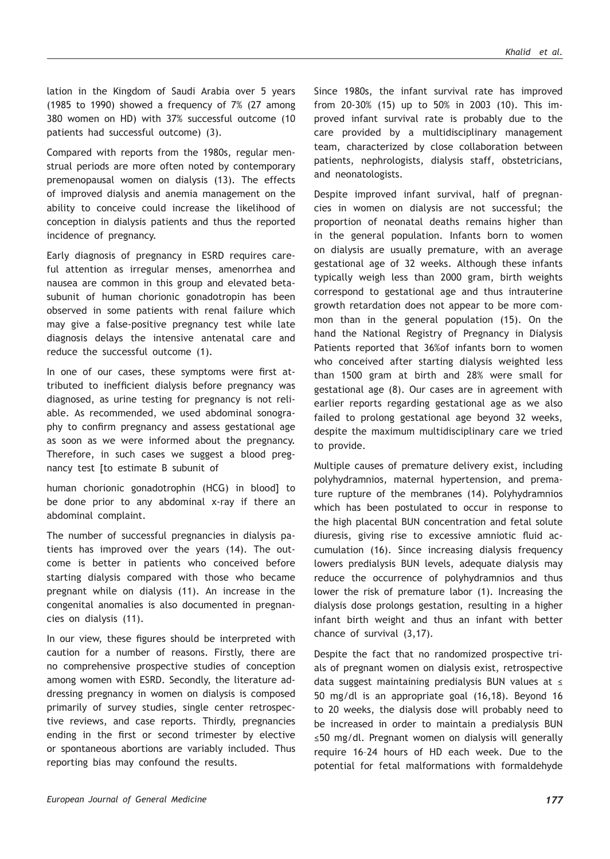lation in the Kingdom of Saudi Arabia over 5 years (1985 to 1990) showed a frequency of 7% (27 among 380 women on HD) with 37% successful outcome (10 patients had successful outcome) (3).

Compared with reports from the 1980s, regular menstrual periods are more often noted by contemporary premenopausal women on dialysis (13). The effects of improved dialysis and anemia management on the ability to conceive could increase the likelihood of conception in dialysis patients and thus the reported incidence of pregnancy.

Early diagnosis of pregnancy in ESRD requires careful attention as irregular menses, amenorrhea and nausea are common in this group and elevated betasubunit of human chorionic gonadotropin has been observed in some patients with renal failure which may give a false-positive pregnancy test while late diagnosis delays the intensive antenatal care and reduce the successful outcome (1).

In one of our cases, these symptoms were first attributed to inefficient dialysis before pregnancy was diagnosed, as urine testing for pregnancy is not reliable. As recommended, we used abdominal sonography to confirm pregnancy and assess gestational age as soon as we were informed about the pregnancy. Therefore, in such cases we suggest a blood pregnancy test [to estimate B subunit of

human chorionic gonadotrophin (HCG) in blood] to be done prior to any abdominal x-ray if there an abdominal complaint.

The number of successful pregnancies in dialysis patients has improved over the years (14). The outcome is better in patients who conceived before starting dialysis compared with those who became pregnant while on dialysis (11). An increase in the congenital anomalies is also documented in pregnancies on dialysis (11).

In our view, these figures should be interpreted with caution for a number of reasons. Firstly, there are no comprehensive prospective studies of conception among women with ESRD. Secondly, the literature addressing pregnancy in women on dialysis is composed primarily of survey studies, single center retrospective reviews, and case reports. Thirdly, pregnancies ending in the first or second trimester by elective or spontaneous abortions are variably included. Thus reporting bias may confound the results.

Since 1980s, the infant survival rate has improved from 20-30% (15) up to 50% in 2003 (10). This improved infant survival rate is probably due to the care provided by a multidisciplinary management team, characterized by close collaboration between patients, nephrologists, dialysis staff, obstetricians, and neonatologists.

Despite improved infant survival, half of pregnancies in women on dialysis are not successful; the proportion of neonatal deaths remains higher than in the general population. Infants born to women on dialysis are usually premature, with an average gestational age of 32 weeks. Although these infants typically weigh less than 2000 gram, birth weights correspond to gestational age and thus intrauterine growth retardation does not appear to be more common than in the general population (15). On the hand the National Registry of Pregnancy in Dialysis Patients reported that 36%of infants born to women who conceived after starting dialysis weighted less than 1500 gram at birth and 28% were small for gestational age (8). Our cases are in agreement with earlier reports regarding gestational age as we also failed to prolong gestational age beyond 32 weeks, despite the maximum multidisciplinary care we tried to provide.

Multiple causes of premature delivery exist, including polyhydramnios, maternal hypertension, and premature rupture of the membranes (14). Polyhydramnios which has been postulated to occur in response to the high placental BUN concentration and fetal solute diuresis, giving rise to excessive amniotic fluid accumulation (16). Since increasing dialysis frequency lowers predialysis BUN levels, adequate dialysis may reduce the occurrence of polyhydramnios and thus lower the risk of premature labor (1). Increasing the dialysis dose prolongs gestation, resulting in a higher infant birth weight and thus an infant with better chance of survival (3,17).

Despite the fact that no randomized prospective trials of pregnant women on dialysis exist, retrospective data suggest maintaining predialysis BUN values at ≤ 50 mg/dl is an appropriate goal (16,18). Beyond 16 to 20 weeks, the dialysis dose will probably need to be increased in order to maintain a predialysis BUN ≤50 mg/dl. Pregnant women on dialysis will generally require 16–24 hours of HD each week. Due to the potential for fetal malformations with formaldehyde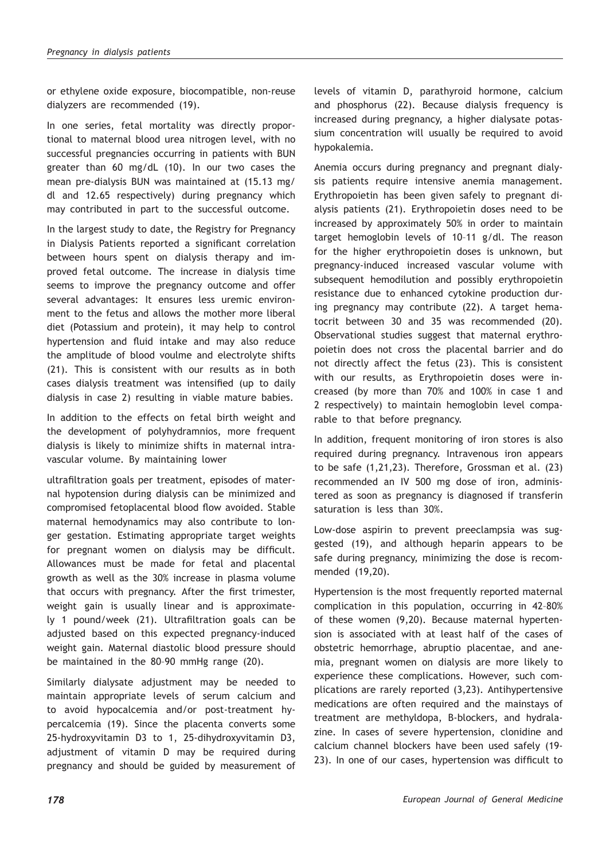or ethylene oxide exposure, biocompatible, non-reuse dialyzers are recommended (19).

In one series, fetal mortality was directly proportional to maternal blood urea nitrogen level, with no successful pregnancies occurring in patients with BUN greater than 60 mg/dL (10). In our two cases the mean pre-dialysis BUN was maintained at (15.13 mg/ dl and 12.65 respectively) during pregnancy which may contributed in part to the successful outcome.

In the largest study to date, the Registry for Pregnancy in Dialysis Patients reported a significant correlation between hours spent on dialysis therapy and improved fetal outcome. The increase in dialysis time seems to improve the pregnancy outcome and offer several advantages: It ensures less uremic environment to the fetus and allows the mother more liberal diet (Potassium and protein), it may help to control hypertension and fluid intake and may also reduce the amplitude of blood voulme and electrolyte shifts (21). This is consistent with our results as in both cases dialysis treatment was intensified (up to daily dialysis in case 2) resulting in viable mature babies.

In addition to the effects on fetal birth weight and the development of polyhydramnios, more frequent dialysis is likely to minimize shifts in maternal intravascular volume. By maintaining lower

ultrafiltration goals per treatment, episodes of maternal hypotension during dialysis can be minimized and compromised fetoplacental blood flow avoided. Stable maternal hemodynamics may also contribute to longer gestation. Estimating appropriate target weights for pregnant women on dialysis may be difficult. Allowances must be made for fetal and placental growth as well as the 30% increase in plasma volume that occurs with pregnancy. After the first trimester, weight gain is usually linear and is approximately 1 pound/week (21). Ultrafiltration goals can be adjusted based on this expected pregnancy-induced weight gain. Maternal diastolic blood pressure should be maintained in the 80–90 mmHg range (20).

Similarly dialysate adjustment may be needed to maintain appropriate levels of serum calcium and to avoid hypocalcemia and/or post-treatment hypercalcemia (19). Since the placenta converts some 25-hydroxyvitamin D3 to 1, 25-dihydroxyvitamin D3, adjustment of vitamin D may be required during pregnancy and should be guided by measurement of levels of vitamin D, parathyroid hormone, calcium and phosphorus (22). Because dialysis frequency is increased during pregnancy, a higher dialysate potassium concentration will usually be required to avoid hypokalemia.

Anemia occurs during pregnancy and pregnant dialysis patients require intensive anemia management. Erythropoietin has been given safely to pregnant dialysis patients (21). Erythropoietin doses need to be increased by approximately 50% in order to maintain target hemoglobin levels of 10–11 g/dl. The reason for the higher erythropoietin doses is unknown, but pregnancy-induced increased vascular volume with subsequent hemodilution and possibly erythropoietin resistance due to enhanced cytokine production during pregnancy may contribute (22). A target hematocrit between 30 and 35 was recommended (20). Observational studies suggest that maternal erythropoietin does not cross the placental barrier and do not directly affect the fetus (23). This is consistent with our results, as Erythropoietin doses were increased (by more than 70% and 100% in case 1 and 2 respectively) to maintain hemoglobin level comparable to that before pregnancy.

In addition, frequent monitoring of iron stores is also required during pregnancy. Intravenous iron appears to be safe (1,21,23). Therefore, Grossman et al. (23) recommended an IV 500 mg dose of iron, administered as soon as pregnancy is diagnosed if transferin saturation is less than 30%.

Low-dose aspirin to prevent preeclampsia was suggested (19), and although heparin appears to be safe during pregnancy, minimizing the dose is recommended (19,20).

Hypertension is the most frequently reported maternal complication in this population, occurring in 42–80% of these women (9,20). Because maternal hypertension is associated with at least half of the cases of obstetric hemorrhage, abruptio placentae, and anemia, pregnant women on dialysis are more likely to experience these complications. However, such complications are rarely reported (3,23). Antihypertensive medications are often required and the mainstays of treatment are methyldopa, B-blockers, and hydralazine. In cases of severe hypertension, clonidine and calcium channel blockers have been used safely (19- 23). In one of our cases, hypertension was difficult to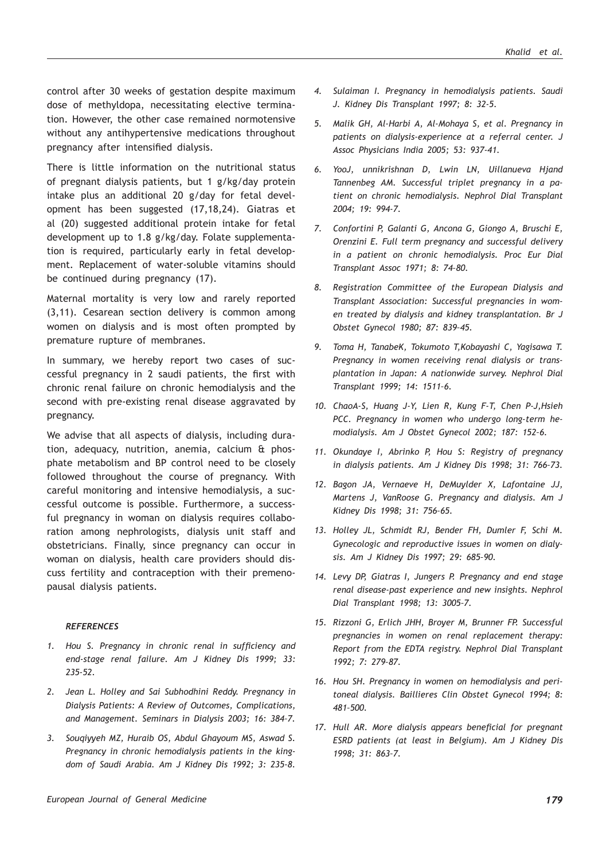control after 30 weeks of gestation despite maximum dose of methyldopa, necessitating elective termination. However, the other case remained normotensive without any antihypertensive medications throughout pregnancy after intensified dialysis.

There is little information on the nutritional status of pregnant dialysis patients, but 1 g/kg/day protein intake plus an additional 20 g/day for fetal development has been suggested (17,18,24). Giatras et al (20) suggested additional protein intake for fetal development up to 1.8 g/kg/day. Folate supplementation is required, particularly early in fetal development. Replacement of water-soluble vitamins should be continued during pregnancy (17).

Maternal mortality is very low and rarely reported (3,11). Cesarean section delivery is common among women on dialysis and is most often prompted by premature rupture of membranes.

In summary, we hereby report two cases of successful pregnancy in 2 saudi patients, the first with chronic renal failure on chronic hemodialysis and the second with pre-existing renal disease aggravated by pregnancy.

We advise that all aspects of dialysis, including duration, adequacy, nutrition, anemia, calcium & phosphate metabolism and BP control need to be closely followed throughout the course of pregnancy. With careful monitoring and intensive hemodialysis, a successful outcome is possible. Furthermore, a successful pregnancy in woman on dialysis requires collaboration among nephrologists, dialysis unit staff and obstetricians. Finally, since pregnancy can occur in woman on dialysis, health care providers should discuss fertility and contraception with their premenopausal dialysis patients.

#### *REFERENCES*

- *1. Hou S. Pregnancy in chronic renal in sufficiency and end-stage renal failure. Am J Kidney Dis 1999; 33: 235-52.*
- *2. Jean L. Holley and Sai Subhodhini Reddy. Pregnancy in Dialysis Patients: A Review of Outcomes, Complications, and Management. Seminars in Dialysis 2003; 16: 384–7.*
- *3. Souqiyyeh MZ, Huraib OS, Abdul Ghayoum MS, Aswad S. Pregnancy in chronic hemodialysis patients in the kingdom of Saudi Arabia. Am J Kidney Dis 1992; 3: 235-8.*
- *4. Sulaiman I. Pregnancy in hemodialysis patients. Saudi J. Kidney Dis Transplant 1997; 8: 32-5.*
- *5. Malik GH, Al-Harbi A, Al-Mohaya S, et al. Pregnancy in patients on dialysis-experience at a referral center. J Assoc Physicians India 2005; 53: 937-41.*
- *6. YooJ, unnikrishnan D, Lwin LN, Uillanueva Hjand Tannenbeg AM. Successful triplet pregnancy in a patient on chronic hemodialysis. Nephrol Dial Transplant 2004; 19: 994-7.*
- *7. Confortini P, Galanti G, Ancona G, Giongo A, Bruschi E, Orenzini E. Full term pregnancy and successful delivery in a patient on chronic hemodialysis. Proc Eur Dial Transplant Assoc 1971; 8: 74–80.*
- *8. Registration Committee of the European Dialysis and Transplant Association: Successful pregnancies in women treated by dialysis and kidney transplantation. Br J Obstet Gynecol 1980; 87: 839–45.*
- *9. Toma H, TanabeK, Tokumoto T,Kobayashi C, Yagisawa T. Pregnancy in women receiving renal dialysis or transplantation in Japan: A nationwide survey. Nephrol Dial Transplant 1999; 14: 1511–6.*
- *10. ChaoA-S, Huang J-Y, Lien R, Kung F-T, Chen P-J,Hsieh PCC. Pregnancy in women who undergo long-term hemodialysis. Am J Obstet Gynecol 2002; 187: 152–6.*
- *11. Okundaye I, Abrinko P, Hou S: Registry of pregnancy in dialysis patients. Am J Kidney Dis 1998; 31: 766–73.*
- *12. Bagon JA, Vernaeve H, DeMuylder X, Lafontaine JJ, Martens J, VanRoose G. Pregnancy and dialysis. Am J Kidney Dis 1998; 31: 756–65.*
- *13. Holley JL, Schmidt RJ, Bender FH, Dumler F, Schi M. Gynecologic and reproductive issues in women on dialysis. Am J Kidney Dis 1997; 29: 685–90.*
- *14. Levy DP, Giatras I, Jungers P. Pregnancy and end stage renal disease-past experience and new insights. Nephrol Dial Transplant 1998; 13: 3005–7.*
- *15. Rizzoni G, Erlich JHH, Broyer M, Brunner FP. Successful pregnancies in women on renal replacement therapy: Report from the EDTA registry. Nephrol Dial Transplant 1992; 7: 279–87.*
- *16. Hou SH. Pregnancy in women on hemodialysis and peritoneal dialysis. Baillieres Clin Obstet Gynecol 1994; 8: 481–500.*
- *17. Hull AR. More dialysis appears beneficial for pregnant ESRD patients (at least in Belgium). Am J Kidney Dis 1998; 31: 863–7.*